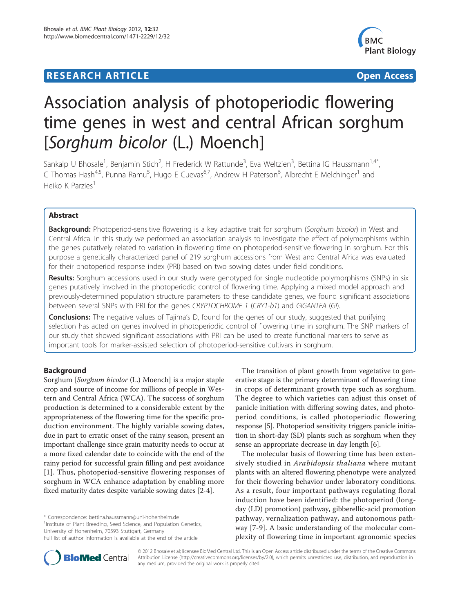# **RESEARCH ARTICLE External Structure Control** Company of the Open Access



# Association analysis of photoperiodic flowering time genes in west and central African sorghum [Sorghum bicolor (L.) Moench]

Sankalp U Bhosale<sup>1</sup>, Benjamin Stich<sup>2</sup>, H Frederick W Rattunde<sup>3</sup>, Eva Weltzien<sup>3</sup>, Bettina IG Haussmann<sup>1,4\*</sup>, C Thomas Hash<sup>4,5</sup>, Punna Ramu<sup>5</sup>, Hugo E Cuevas<sup>6,7</sup>, Andrew H Paterson<sup>6</sup>, Albrecht E Melchinger<sup>1</sup> and Heiko K Parzies<sup>1</sup>

# Abstract

Background: Photoperiod-sensitive flowering is a key adaptive trait for sorghum (Sorghum bicolor) in West and Central Africa. In this study we performed an association analysis to investigate the effect of polymorphisms within the genes putatively related to variation in flowering time on photoperiod-sensitive flowering in sorghum. For this purpose a genetically characterized panel of 219 sorghum accessions from West and Central Africa was evaluated for their photoperiod response index (PRI) based on two sowing dates under field conditions.

Results: Sorghum accessions used in our study were genotyped for single nucleotide polymorphisms (SNPs) in six genes putatively involved in the photoperiodic control of flowering time. Applying a mixed model approach and previously-determined population structure parameters to these candidate genes, we found significant associations between several SNPs with PRI for the genes CRYPTOCHROME 1 (CRY1-b1) and GIGANTEA (GI).

Conclusions: The negative values of Tajima's D, found for the genes of our study, suggested that purifying selection has acted on genes involved in photoperiodic control of flowering time in sorghum. The SNP markers of our study that showed significant associations with PRI can be used to create functional markers to serve as important tools for marker-assisted selection of photoperiod-sensitive cultivars in sorghum.

# Background

Sorghum [Sorghum bicolor (L.) Moench] is a major staple crop and source of income for millions of people in Western and Central Africa (WCA). The success of sorghum production is determined to a considerable extent by the appropriateness of the flowering time for the specific production environment. The highly variable sowing dates, due in part to erratic onset of the rainy season, present an important challenge since grain maturity needs to occur at a more fixed calendar date to coincide with the end of the rainy period for successful grain filling and pest avoidance [[1](#page-8-0)]. Thus, photoperiod-sensitive flowering responses of sorghum in WCA enhance adaptation by enabling more fixed maturity dates despite variable sowing dates [\[2-4\]](#page-8-0).

\* Correspondence: [bettina.haussmann@uni-hohenheim.de](mailto:bettina.haussmann@uni-hohenheim.de)

<sup>1</sup>Institute of Plant Breeding, Seed Science, and Population Genetics,

The transition of plant growth from vegetative to generative stage is the primary determinant of flowering time in crops of determinant growth type such as sorghum. The degree to which varieties can adjust this onset of panicle initiation with differing sowing dates, and photoperiod conditions, is called photoperiodic flowering response [\[5](#page-8-0)]. Photoperiod sensitivity triggers panicle initiation in short-day (SD) plants such as sorghum when they sense an appropriate decrease in day length [\[6](#page-8-0)].

The molecular basis of flowering time has been extensively studied in *Arabidopsis thaliana* where mutant plants with an altered flowering phenotype were analyzed for their flowering behavior under laboratory conditions. As a result, four important pathways regulating floral induction have been identified: the photoperiod (longday (LD) promotion) pathway, gibberellic-acid promotion pathway, vernalization pathway, and autonomous pathway [[7-9\]](#page-8-0). A basic understanding of the molecular complexity of flowering time in important agronomic species



© 2012 Bhosale et al; licensee BioMed Central Ltd. This is an Open Access article distributed under the terms of the Creative Commons Attribution License [\(http://creativecommons.org/licenses/by/2.0](http://creativecommons.org/licenses/by/2.0)), which permits unrestricted use, distribution, and reproduction in any medium, provided the original work is properly cited.

University of Hohenheim, 70593 Stuttgart, Germany

Full list of author information is available at the end of the article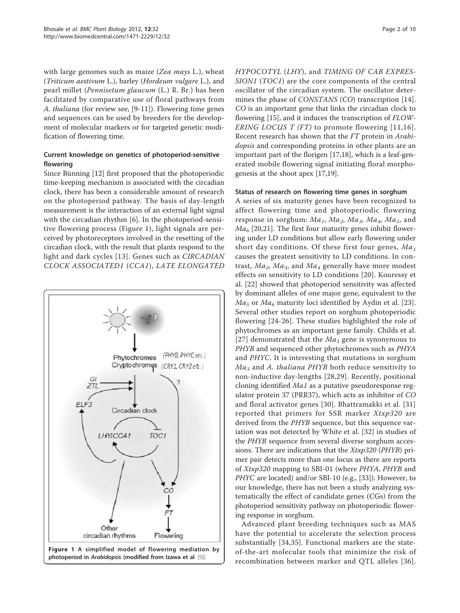with large genomes such as maize (Zea mays L.), wheat (Triticum aestivum L.), barley (Hordeum vulgare L.), and pearl millet (Pennisetum glaucum (L.) R. Br.) has been facilitated by comparative use of floral pathways from A. thaliana (for review see, [[9-11\]](#page-8-0)). Flowering time genes and sequences can be used by breeders for the development of molecular markers or for targeted genetic modification of flowering time.

# Current knowledge on genetics of photoperiod-sensitive flowering

Since Bünning [\[12](#page-8-0)] first proposed that the photoperiodic time-keeping mechanism is associated with the circadian clock, there has been a considerable amount of research on the photoperiod pathway. The basis of day-length measurement is the interaction of an external light signal with the circadian rhythm [[6\]](#page-8-0). In the photoperiod-sensitive flowering process (Figure 1), light signals are perceived by photoreceptors involved in the resetting of the circadian clock, with the result that plants respond to the light and dark cycles [[13\]](#page-8-0). Genes such as CIRCADIAN CLOCK ASSOCIATED1 (CCA1), LATE ELONGATED



HYPOCOTYL (LHY), and TIMING OF CAB EXPRES-SION1 (TOC1) are the core components of the central oscillator of the circadian system. The oscillator determines the phase of *CONSTANS* (*CO*) transcription [\[14](#page-8-0)]. CO is an important gene that links the circadian clock to flowering [[15\]](#page-8-0), and it induces the transcription of FLOW-ERING LOCUS T (FT) to promote flowering  $[11,16]$  $[11,16]$ . Recent research has shown that the FT protein in Arabidopsis and corresponding proteins in other plants are an important part of the florigen [\[17,18\]](#page-8-0), which is a leaf-generated mobile flowering signal initiating floral morphogenesis at the shoot apex [[17,19\]](#page-8-0).

# Status of research on flowering time genes in sorghum

A series of six maturity genes have been recognized to affect flowering time and photoperiodic flowering response in sorghum:  $Ma_1$ ,  $Ma_2$ ,  $Ma_3$ ,  $Ma_4$ ,  $Ma_5$ , and  $Ma<sub>6</sub>$  [[20](#page-8-0),[21](#page-8-0)]. The first four maturity genes inhibit flowering under LD conditions but allow early flowering under short day conditions. Of these first four genes,  $Ma<sub>1</sub>$ causes the greatest sensitivity to LD conditions. In contrast,  $Ma_2$ ,  $Ma_3$ , and  $Ma_4$  generally have more modest effects on sensitivity to LD conditions [[20](#page-8-0)]. Kouressy et al. [\[22](#page-8-0)] showed that photoperiod sensitivity was affected by dominant alleles of one major gene, equivalent to the  $Ma<sub>5</sub>$  or  $Ma<sub>6</sub>$  maturity loci identified by Aydin et al. [\[23](#page-8-0)]. Several other studies report on sorghum photoperiodic flowering [[24-26\]](#page-8-0). These studies highlighted the role of phytochromes as an important gene family. Childs et al. [[27](#page-8-0)] demonstrated that the  $Ma<sub>3</sub>$  gene is synonymous to PHYB and sequenced other phytochromes such as PHYA and PHYC. It is interesting that mutations in sorghum  $Ma<sub>3</sub>$  and A. thaliana PHYB both reduce sensitivity to non-inductive day-lengths [[28,29](#page-8-0)]. Recently, positional cloning identified Ma1 as a putative pseudoresponse regulator protein 37 (PRR37), which acts as inhibitor of CO and floral activator genes [[30](#page-8-0)]. Bhattramakki et al. [[31](#page-8-0)] reported that primers for SSR marker Xtxp320 are derived from the PHYB sequence, but this sequence variation was not detected by White et al. [[32\]](#page-8-0) in studies of the PHYB sequence from several diverse sorghum accessions. There are indications that the Xtxp320 (PHYB) primer pair detects more than one locus as there are reports of Xtxp320 mapping to SBI-01 (where PHYA, PHYB and PHYC are located) and/or SBI-10 (e.g., [[33\]](#page-8-0)). However, to our knowledge, there has not been a study analyzing systematically the effect of candidate genes (CGs) from the photoperiod sensitivity pathway on photoperiodic flowering response in sorghum.

Advanced plant breeding techniques such as MAS have the potential to accelerate the selection process substantially [\[34](#page-8-0),[35\]](#page-8-0). Functional markers are the stateof-the-art molecular tools that minimize the risk of recombination between marker and QTL alleles [[36\]](#page-9-0).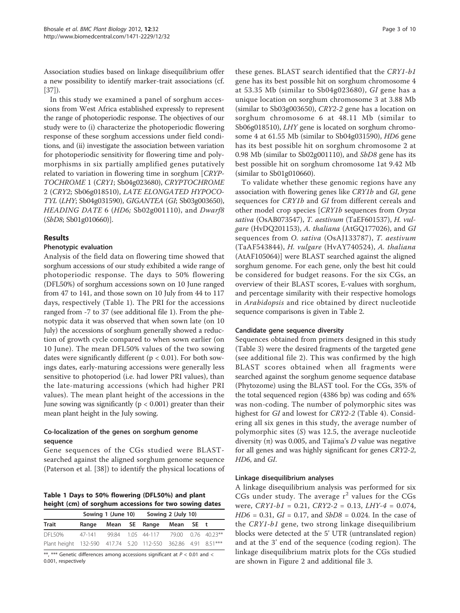<span id="page-2-0"></span>Association studies based on linkage disequilibrium offer a new possibility to identify marker-trait associations (cf. [[37\]](#page-9-0)).

In this study we examined a panel of sorghum accessions from West Africa established expressly to represent the range of photoperiodic response. The objectives of our study were to (i) characterize the photoperiodic flowering response of these sorghum accessions under field conditions, and (ii) investigate the association between variation for photoperiodic sensitivity for flowering time and polymorphisms in six partially amplified genes putatively related to variation in flowering time in sorghum [CRYP-TOCHROME 1 (CRY1; Sb04g023680), CRYPTOCHROME 2 (CRY2; Sb06g018510), LATE ELONGATED HYPOCO-TYL (LHY; Sb04g031590), GIGANTEA (GI; Sb03g003650), HEADING DATE 6 (HD6; Sb02g001110), and Dwarf8 (SbD8; Sb01g010660)].

# Results

# Phenotypic evaluation

Analysis of the field data on flowering time showed that sorghum accessions of our study exhibited a wide range of photoperiodic response. The days to 50% flowering (DFL50%) of sorghum accessions sown on 10 June ranged from 47 to 141, and those sown on 10 July from 44 to 117 days, respectively (Table 1). The PRI for the accessions ranged from -7 to 37 (see additional file [1](#page-7-0)). From the phenotypic data it was observed that when sown late (on 10 July) the accessions of sorghum generally showed a reduction of growth cycle compared to when sown earlier (on 10 June). The mean DFL50% values of the two sowing dates were significantly different ( $p < 0.01$ ). For both sowings dates, early-maturing accessions were generally less sensitive to photoperiod (i.e. had lower PRI values), than the late-maturing accessions (which had higher PRI values). The mean plant height of the accessions in the June sowing was significantly ( $p < 0.001$ ) greater than their mean plant height in the July sowing.

# Co-localization of the genes on sorghum genome sequence

Gene sequences of the CGs studied were BLASTsearched against the aligned sorghum genome sequence (Paterson et al. [\[38](#page-9-0)]) to identify the physical locations of

Table 1 Days to 50% flowering (DFL50%) and plant height (cm) of sorghum accessions for two sowing dates

|                                                              | Sowing 1 (June 10) | Sowing 2 (July 10)                          |  |  |
|--------------------------------------------------------------|--------------------|---------------------------------------------|--|--|
| <b>Trait</b>                                                 |                    | Range Mean SE Range Mean SE t               |  |  |
| DFI 50%                                                      |                    | 47-141 99.84 1.05 44-117 79.00 0.76 40.23** |  |  |
| Plant height 132-590 417.74 5.20 112-550 362.86 4.91 8.51*** |                    |                                             |  |  |

\*\*, \*\*\* Genetic differences among accessions significant at  $P < 0.01$  and  $<$ 0.001, respectively

these genes. BLAST search identified that the CRY1-b1 gene has its best possible hit on sorghum chromosome 4 at 53.35 Mb (similar to Sb04g023680), GI gene has a unique location on sorghum chromosome 3 at 3.88 Mb (similar to Sb03g003650), CRY2-2 gene has a location on sorghum chromosome 6 at 48.11 Mb (similar to Sb06g018510), LHY gene is located on sorghum chromosome 4 at 61.55 Mb (similar to Sb04g031590), HD6 gene has its best possible hit on sorghum chromosome 2 at 0.98 Mb (similar to Sb02g001110), and SbD8 gene has its best possible hit on sorghum chromosome 1at 9.42 Mb (similar to Sb01g010660).

To validate whether these genomic regions have any association with flowering genes like CRY1b and GI, gene sequences for CRY1b and GI from different cereals and other model crop species [CRY1b sequences from Oryza sativa (OsAB073547), T. aestivum (TaEF601537), H. vulgare (HvDQ201153), A. thaliana (AtGQ177026), and GI sequences from O. sativa (OsAJ133787), T. aestivum (TaAF543844), H. vulgare (HvAY740524), A. thaliana (AtAF105064)] were BLAST searched against the aligned sorghum genome. For each gene, only the best hit could be considered for budget reasons. For the six CGs, an overview of their BLAST scores, E-values with sorghum, and percentage similarity with their respective homologs in Arabidopsis and rice obtained by direct nucleotide sequence comparisons is given in Table [2.](#page-3-0)

#### Candidate gene sequence diversity

Sequences obtained from primers designed in this study (Table [3\)](#page-3-0) were the desired fragments of the targeted gene (see additional file [2\)](#page-7-0). This was confirmed by the high BLAST scores obtained when all fragments were searched against the sorghum genome sequence database (Phytozome) using the BLAST tool. For the CGs, 35% of the total sequenced region (4386 bp) was coding and 65% was non-coding. The number of polymorphic sites was highest for GI and lowest for CRY2-2 (Table [4](#page-4-0)). Considering all six genes in this study, the average number of polymorphic sites (S) was 12.5, the average nucleotide diversity (π) was 0.005, and Tajima's D value was negative for all genes and was highly significant for genes CRY2-2, HD6, and GI.

#### Linkage disequilibrium analyses

A linkage disequilibrium analysis was performed for six CGs under study. The average  $r^2$  values for the CGs were,  $CRY1-b1 = 0.21$ ,  $CRY2-2 = 0.13$ ,  $LHY-4 = 0.074$ ,  $HD6 = 0.31, GI = 0.17, and SbD8 = 0.024.$  In the case of the CRY1-b1 gene, two strong linkage disequilibrium blocks were detected at the 5' UTR (untranslated region) and at the 3' end of the sequence (coding region). The linkage disequilibrium matrix plots for the CGs studied are shown in Figure [2](#page-5-0) and additional file [3](#page-7-0).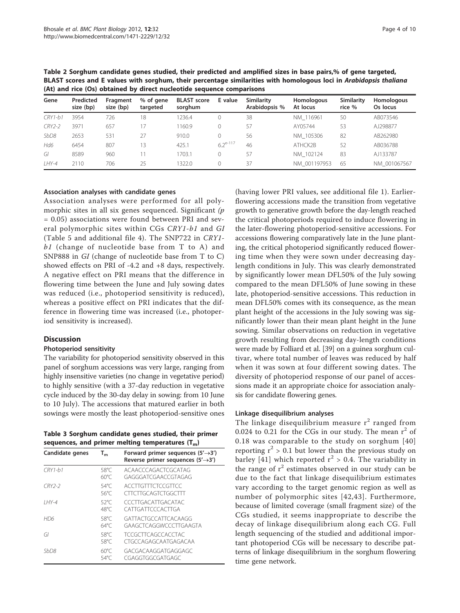| Gene      | Predicted<br>size (bp) | Fragment<br>size (bp) | % of gene<br>targeted | <b>BLAST</b> score<br>sorghum | E value       | Similarity<br>Arabidopsis % | Homologous<br>At locus | Similarity<br>rice % | Homologous<br>Os locus |
|-----------|------------------------|-----------------------|-----------------------|-------------------------------|---------------|-----------------------------|------------------------|----------------------|------------------------|
| $CRY1-b1$ | 3954                   | 726                   | 18                    | 1236.4                        |               | 38                          | NM 116961              | 50                   | AB073546               |
| $CRY2-2$  | 3971                   | 657                   |                       | 1160.9                        |               | 57                          | AY05744                | 53                   | AJ298877               |
| SbD8      | 2653                   | 531                   | 27                    | 910.0                         |               | 56                          | NM 105306              | 82                   | AB262980               |
| Hd6       | 6454                   | 807                   | 3                     | 425.1                         | $6.2^{e-117}$ | 46                          | ATHCK2B                | 52                   | AB036788               |
| GI        | 8589                   | 960                   |                       | 1703.1                        |               | 57                          | NM 102124              | 83                   | AJ133787               |
| $IHY-4$   | 2110                   | 706                   | 25                    | 1322.0                        |               | 37                          | NM 001197953           | -65                  | NM 001067567           |

<span id="page-3-0"></span>Table 2 Sorghum candidate genes studied, their predicted and amplified sizes in base pairs,% of gene targeted, BLAST scores and E values with sorghum, their percentage similarities with homologous loci in Arabidopsis thaliana (At) and rice (Os) obtained by direct nucleotide sequence comparisons

# Association analyses with candidate genes

Association analyses were performed for all polymorphic sites in all six genes sequenced. Significant  $(p)$ = 0.05) associations were found between PRI and several polymorphic sites within CGs CRY1-b1 and GI (Table [5](#page-6-0) and additional file [4\)](#page-7-0). The SNP722 in CRY1 b1 (change of nucleotide base from T to A) and SNP888 in GI (change of nucleotide base from T to C) showed effects on PRI of -4.2 and +8 days, respectively. A negative effect on PRI means that the difference in flowering time between the June and July sowing dates was reduced (i.e., photoperiod sensitivity is reduced), whereas a positive effect on PRI indicates that the difference in flowering time was increased (i.e., photoperiod sensitivity is increased).

# **Discussion**

#### Photoperiod sensitivity

The variability for photoperiod sensitivity observed in this panel of sorghum accessions was very large, ranging from highly insensitive varieties (no change in vegetative period) to highly sensitive (with a 37-day reduction in vegetative cycle induced by the 30-day delay in sowing: from 10 June to 10 July). The accessions that matured earlier in both sowings were mostly the least photoperiod-sensitive ones

| Table 3 Sorghum candidate genes studied, their primer |  |
|-------------------------------------------------------|--|
| sequences, and primer melting temperatures $(T_m)$    |  |

| Candidate genes | $T_{m}$                         | Forward primer sequences $(5' \rightarrow 3')$<br>Reverse primer sequences $(5' \rightarrow 3')$ |
|-----------------|---------------------------------|--------------------------------------------------------------------------------------------------|
| $CRY1-b1$       | 58°C<br>$60^{\circ}$ C          | ACAACCCAGACTCGCATAG<br>GAGGGATCGAACCGTAGAG                                                       |
| $CRY2-2$        | 54°C<br>56°C                    | ACCITGITICICCGITCC<br>CITCITGCAGICTGGCITT                                                        |
| $IHY-4$         | $52^{\circ}C$<br>$48^{\circ}$ C | CCCTTGACATTGACATAC<br>CATTGATTCCCACTTGA                                                          |
| HD6             | 58°C<br>$64^{\circ}$ C          | GATTACTGCCATTCACAAGG<br>GAAGCTCAGGWCCCTTGAAGTA                                                   |
| Gl              | 58°C<br>58°C                    | <b>TCCGCTTCAGCCACCTAC</b><br>CTGCCAGAGCAATGAGACAA                                                |
| SbD8            | 60°C<br>54°C                    | GACGACAAGGATGAGGAGC<br>CGAGGTGGCGATGAGC                                                          |

(having lower PRI values, see additional file [1](#page-7-0)). Earlierflowering accessions made the transition from vegetative growth to generative growth before the day-length reached the critical photoperiods required to induce flowering in the later-flowering photoperiod-sensitive accessions. For accessions flowering comparatively late in the June planting, the critical photoperiod significantly reduced flowering time when they were sown under decreasing daylength conditions in July. This was clearly demonstrated by significantly lower mean DFL50% of the July sowing compared to the mean DFL50% of June sowing in these late, photoperiod-sensitive accessions. This reduction in mean DFL50% comes with its consequence, as the mean plant height of the accessions in the July sowing was significantly lower than their mean plant height in the June sowing. Similar observations on reduction in vegetative growth resulting from decreasing day-length conditions were made by Folliard et al. [[39](#page-9-0)] on a guinea sorghum cultivar, where total number of leaves was reduced by half when it was sown at four different sowing dates. The diversity of photoperiod response of our panel of accessions made it an appropriate choice for association analysis for candidate flowering genes.

#### Linkage disequilibrium analyses

The linkage disequilibrium measure  $r^2$  ranged from 0.024 to 0.21 for the CGs in our study. The mean  $r^2$  of 0.18 was comparable to the study on sorghum [[40](#page-9-0)] reporting  $r^2 > 0.1$  but lower than the previous study on barley [[41\]](#page-9-0) which reported  $r^2 > 0.4$ . The variability in the range of  $r^2$  estimates observed in our study can be due to the fact that linkage disequilibrium estimates vary according to the target genomic region as well as number of polymorphic sites [[42,43](#page-9-0)]. Furthermore, because of limited coverage (small fragment size) of the CGs studied, it seems inappropriate to describe the decay of linkage disequilibrium along each CG. Full length sequencing of the studied and additional important photoperiod CGs will be necessary to describe patterns of linkage disequilibrium in the sorghum flowering time gene network.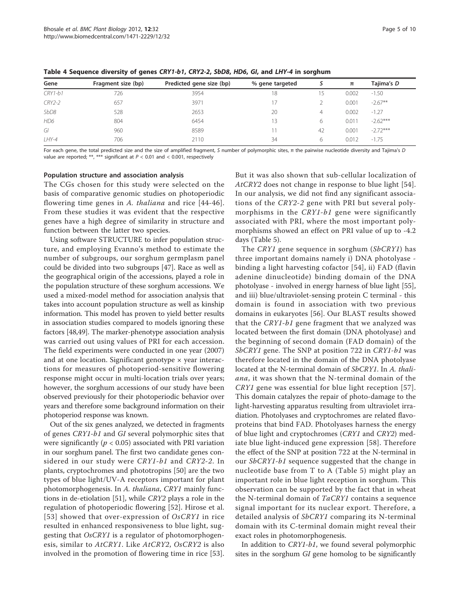| Gene      | Fragment size (bp) | Predicted gene size (bp) | % gene targeted |                | π     | Tajima's D |
|-----------|--------------------|--------------------------|-----------------|----------------|-------|------------|
| $CRY1-b1$ | 726                | 3954                     | 18              | '5             | 0.002 | $-1.50$    |
| $CRY2-2$  | 657                | 3971                     |                 |                | 0.001 | $-2.67**$  |
| SbD8      | 528                | 2653                     | 20              | $\overline{4}$ | 0.002 | $-1.27$    |
| HD6       | 804                | 6454                     | 13              | 6              | 0.011 | $-2.62***$ |
| GI        | 960                | 8589                     |                 | 42             | 0.001 | $-2.72***$ |
| $LHY-4$   | 706                | 2110                     | 34              | 6              | 0.012 | $-1.75$    |

<span id="page-4-0"></span>Table 4 Sequence diversity of genes CRY1-b1, CRY2-2, SbD8, HD6, GI, and LHY-4 in sorghum

For each gene, the total predicted size and the size of amplified fragment, S number of polymorphic sites, π the pairwise nucleotide diversity and Tajima's D value are reported; \*\*, \*\*\* significant at  $P < 0.01$  and  $< 0.001$ , respectively

#### Population structure and association analysis

The CGs chosen for this study were selected on the basis of comparative genomic studies on photoperiodic flowering time genes in A. thaliana and rice [[44-46\]](#page-9-0). From these studies it was evident that the respective genes have a high degree of similarity in structure and function between the latter two species.

Using software STRUCTURE to infer population structure, and employing Evanno's method to estimate the number of subgroups, our sorghum germplasm panel could be divided into two subgroups [\[47\]](#page-9-0). Race as well as the geographical origin of the accessions, played a role in the population structure of these sorghum accessions. We used a mixed-model method for association analysis that takes into account population structure as well as kinship information. This model has proven to yield better results in association studies compared to models ignoring these factors [\[48,49](#page-9-0)]. The marker-phenotype association analysis was carried out using values of PRI for each accession. The field experiments were conducted in one year (2007) and at one location. Significant genotype  $\times$  year interactions for measures of photoperiod-sensitive flowering response might occur in multi-location trials over years; however, the sorghum accessions of our study have been observed previously for their photoperiodic behavior over years and therefore some background information on their photoperiod response was known.

Out of the six genes analyzed, we detected in fragments of genes CRY1-b1 and GI several polymorphic sites that were significantly ( $p < 0.05$ ) associated with PRI variation in our sorghum panel. The first two candidate genes considered in our study were CRY1-b1 and CRY2-2. In plants, cryptochromes and phototropins [\[50](#page-9-0)] are the two types of blue light/UV-A receptors important for plant photomorphogenesis. In A. thaliana, CRY1 mainly functions in de-etiolation [[51\]](#page-9-0), while CRY2 plays a role in the regulation of photoperiodic flowering [[52\]](#page-9-0). Hirose et al. [[53](#page-9-0)] showed that over-expression of OsCRY1 in rice resulted in enhanced responsiveness to blue light, suggesting that OsCRY1 is a regulator of photomorphogenesis, similar to AtCRY1. Like AtCRY2, OsCRY2 is also involved in the promotion of flowering time in rice [\[53](#page-9-0)].

But it was also shown that sub-cellular localization of AtCRY2 does not change in response to blue light [[54](#page-9-0)]. In our analysis, we did not find any significant associations of the CRY2-2 gene with PRI but several polymorphisms in the CRY1-b1 gene were significantly associated with PRI, where the most important polymorphisms showed an effect on PRI value of up to -4.2 days (Table [5\)](#page-6-0).

The CRY1 gene sequence in sorghum (SbCRY1) has three important domains namely i) DNA photolyase binding a light harvesting cofactor [[54](#page-9-0)], ii) FAD (flavin adenine dinucleotide) binding domain of the DNA photolyase - involved in energy harness of blue light [\[55](#page-9-0)], and iii) blue/ultraviolet-sensing protein C terminal - this domain is found in association with two previous domains in eukaryotes [\[56](#page-9-0)]. Our BLAST results showed that the CRY1-b1 gene fragment that we analyzed was located between the first domain (DNA photolyase) and the beginning of second domain (FAD domain) of the SbCRY1 gene. The SNP at position 722 in CRY1-b1 was therefore located in the domain of the DNA photolyase located at the N-terminal domain of SbCRY1. In A. thaliana, it was shown that the N-terminal domain of the CRY1 gene was essential for blue light reception [[57\]](#page-9-0). This domain catalyzes the repair of photo-damage to the light-harvesting apparatus resulting from ultraviolet irradiation. Photolyases and cryptochromes are related flavoproteins that bind FAD. Photolyases harness the energy of blue light and cryptochromes (CRY1 and CRY2) mediate blue light-induced gene expression [[58](#page-9-0)]. Therefore the effect of the SNP at position 722 at the N-terminal in our SbCRY1-b1 sequence suggested that the change in nucleotide base from T to A (Table [5](#page-6-0)) might play an important role in blue light reception in sorghum. This observation can be supported by the fact that in wheat the N-terminal domain of  $TaCRY1$  contains a sequence signal important for its nuclear export. Therefore, a detailed analysis of SbCRY1 comparing its N-terminal domain with its C-terminal domain might reveal their exact roles in photomorphogenesis.

In addition to CRY1-b1, we found several polymorphic sites in the sorghum GI gene homolog to be significantly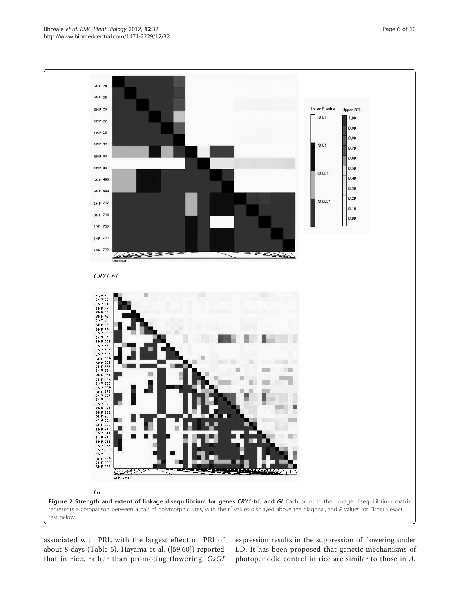<span id="page-5-0"></span>

associated with PRI, with the largest effect on PRI of about 8 days (Table [5\)](#page-6-0). Hayama et al. ([[59](#page-9-0),[60\]](#page-9-0)) reported that in rice, rather than promoting flowering, OsGI expression results in the suppression of flowering under LD. It has been proposed that genetic mechanisms of photoperiodic control in rice are similar to those in A.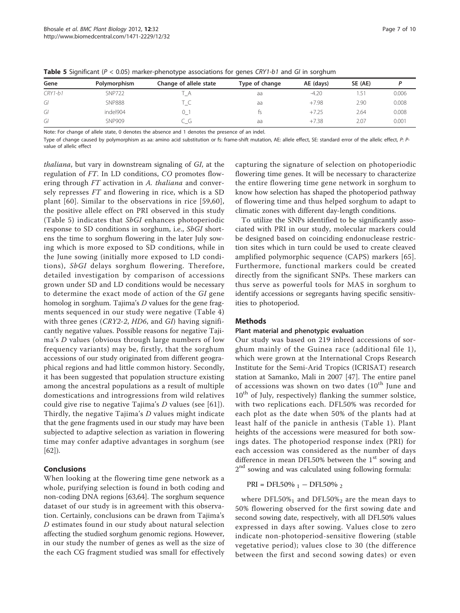| Gene      | Polymorphism  | Change of allele state | Type of change | AE (davs) | SE (AE) |       |
|-----------|---------------|------------------------|----------------|-----------|---------|-------|
| $CRY1-b1$ | <b>SNP722</b> | _A                     | aa             | $-4.20$   | .51     | 0.006 |
| GI        | <b>SNP888</b> |                        | aa             | $+7.98$   | 2.90    | 0.008 |
|           | indel904      | J                      |                | $+7.25$   | 2.64    | 0.008 |
| GI        | <b>SNP909</b> | ್_ು                    | aa             | $+7.38$   | 2.07    | 0.001 |

<span id="page-6-0"></span>**Table 5** Significant ( $P < 0.05$ ) marker-phenotype associations for genes CRY1-b1 and GI in sorghum

Note: For change of allele state, 0 denotes the absence and 1 denotes the presence of an indel.

Type of change caused by polymorphism as aa: amino acid substitution or fs: frame-shift mutation, AE: allele effect, SE: standard error of the allelic effect, P: Pvalue of allelic effect

thaliana, but vary in downstream signaling of GI, at the regulation of FT. In LD conditions, CO promotes flowering through FT activation in A. thaliana and conversely represses FT and flowering in rice, which is a SD plant [[60](#page-9-0)]. Similar to the observations in rice [[59](#page-9-0),[60\]](#page-9-0), the positive allele effect on PRI observed in this study (Table 5) indicates that SbGI enhances photoperiodic response to SD conditions in sorghum, i.e., SbGI shortens the time to sorghum flowering in the later July sowing which is more exposed to SD conditions, while in the June sowing (initially more exposed to LD conditions), SbGI delays sorghum flowering. Therefore, detailed investigation by comparison of accessions grown under SD and LD conditions would be necessary to determine the exact mode of action of the GI gene homolog in sorghum. Tajima's D values for the gene fragments sequenced in our study were negative (Table [4](#page-4-0)) with three genes (CRY2-2, HD6, and GI) having significantly negative values. Possible reasons for negative Tajima's D values (obvious through large numbers of low frequency variants) may be, firstly, that the sorghum accessions of our study originated from different geographical regions and had little common history. Secondly, it has been suggested that population structure existing among the ancestral populations as a result of multiple domestications and introgressions from wild relatives could give rise to negative Tajima's D values (see [[61\]](#page-9-0)). Thirdly, the negative Tajima's D values might indicate that the gene fragments used in our study may have been subjected to adaptive selection as variation in flowering time may confer adaptive advantages in sorghum (see [[62\]](#page-9-0)).

#### Conclusions

When looking at the flowering time gene network as a whole, purifying selection is found in both coding and non-coding DNA regions [[63,64\]](#page-9-0). The sorghum sequence dataset of our study is in agreement with this observation. Certainly, conclusions can be drawn from Tajima's D estimates found in our study about natural selection affecting the studied sorghum genomic regions. However, in our study the number of genes as well as the size of the each CG fragment studied was small for effectively

capturing the signature of selection on photoperiodic flowering time genes. It will be necessary to characterize the entire flowering time gene network in sorghum to know how selection has shaped the photoperiod pathway of flowering time and thus helped sorghum to adapt to climatic zones with different day-length conditions.

To utilize the SNPs identified to be significantly associated with PRI in our study, molecular markers could be designed based on coinciding endonuclease restriction sites which in turn could be used to create cleaved amplified polymorphic sequence (CAPS) markers [[65](#page-9-0)]. Furthermore, functional markers could be created directly from the significant SNPs. These markers can thus serve as powerful tools for MAS in sorghum to identify accessions or segregants having specific sensitivities to photoperiod.

#### Methods

#### Plant material and phenotypic evaluation

Our study was based on 219 inbred accessions of sorghum mainly of the Guinea race (additional file [1\)](#page-7-0), which were grown at the International Crops Research Institute for the Semi-Arid Tropics (ICRISAT) research station at Samanko, Mali in 2007 [[47\]](#page-9-0). The entire panel of accessions was shown on two dates  $(10^{th})$  June and 10<sup>th</sup> of July, respectively) flanking the summer solstice, with two replications each. DFL50% was recorded for each plot as the date when 50% of the plants had at least half of the panicle in anthesis (Table [1\)](#page-2-0). Plant heights of the accessions were measured for both sowings dates. The photoperiod response index (PRI) for each accession was considered as the number of days difference in mean DFL50% between the  $1<sup>st</sup>$  sowing and 2<sup>nd</sup> sowing and was calculated using following formula:

PRI = DFL50% 1 − DFL50% 2

where  $DFL50\%$ <sub>1</sub> and  $DFL50\%$ <sub>2</sub> are the mean days to 50% flowering observed for the first sowing date and second sowing date, respectively, with all DFL50% values expressed in days after sowing. Values close to zero indicate non-photoperiod-sensitive flowering (stable vegetative period); values close to 30 (the difference between the first and second sowing dates) or even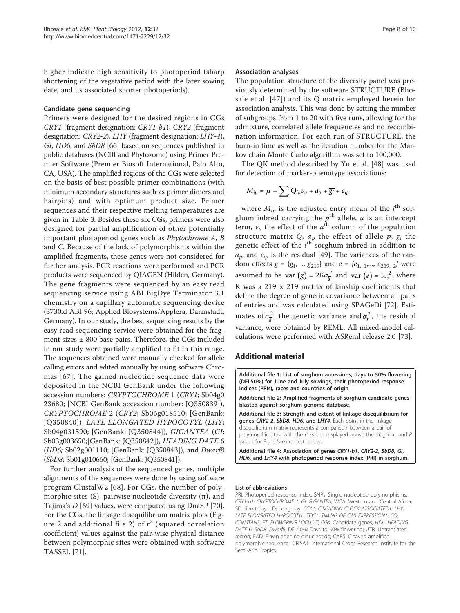<span id="page-7-0"></span>higher indicate high sensitivity to photoperiod (sharp shortening of the vegetative period with the later sowing date, and its associated shorter photoperiods).

#### Candidate gene sequencing

Primers were designed for the desired regions in CGs CRY1 (fragment designation: CRY1-b1), CRY2 (fragment designation: CRY2-2), LHY (fragment designation: LHY-4), GI, HD6, and SbD8 [[66](#page-9-0)] based on sequences published in public databases (NCBI and Phytozome) using Primer Premier Software (Premier Biosoft International, Palo Alto, CA, USA). The amplified regions of the CGs were selected on the basis of best possible primer combinations (with minimum secondary structures such as primer dimers and hairpins) and with optimum product size. Primer sequences and their respective melting temperatures are given in Table [3.](#page-3-0) Besides these six CGs, primers were also designed for partial amplification of other potentially important photoperiod genes such as Phytochrome A, B and C. Because of the lack of polymorphisms within the amplified fragments, these genes were not considered for further analysis. PCR reactions were performed and PCR products were sequenced by QIAGEN (Hilden, Germany). The gene fragments were sequenced by an easy read sequencing service using ABI BigDye Terminator 3.1 chemistry on a capillary automatic sequencing device (3730xl ABI 96; Applied Biosystems/Applera, Darmstadt, Germany). In our study, the best sequencing results by the easy read sequencing service were obtained for the fragment sizes ± 800 base pairs. Therefore, the CGs included in our study were partially amplified to fit in this range. The sequences obtained were manually checked for allele calling errors and edited manually by using software Chromas [[67\]](#page-9-0). The gained nucleotide sequence data were deposited in the NCBI GenBank under the following accession numbers: CRYPTOCHROME 1 (CRY1; Sb04g0 23680; [NCBI GenBank accession number: [JQ350839\]](http://www.ncbi.nih.gov/entrez/query.fcgi?db=Nucleotide&cmd=search&term=JQ350839)), CRYPTOCHROME 2 (CRY2; Sb06g018510; [GenBank: [JQ350840](http://www.ncbi.nih.gov/entrez/query.fcgi?db=Nucleotide&cmd=search&term=JQ350840)]), LATE ELONGATED HYPOCOTYL (LHY; Sb04g031590; [GenBank: [JQ350844](http://www.ncbi.nih.gov/entrez/query.fcgi?db=Nucleotide&cmd=search&term=JQ350844)]), GIGANTEA (GI; Sb03g003650;[GenBank: [JQ350842](http://www.ncbi.nih.gov/entrez/query.fcgi?db=Nucleotide&cmd=search&term=JQ350842)]), HEADING DATE 6 (HD6; Sb02g001110; [GenBank: [JQ350843\]](http://www.ncbi.nih.gov/entrez/query.fcgi?db=Nucleotide&cmd=search&term=JQ350843)), and Dwarf8 (SbD8; Sb01g010660; [GenBank: [JQ350841](http://www.ncbi.nih.gov/entrez/query.fcgi?db=Nucleotide&cmd=search&term=JQ350841)]).

For further analysis of the sequenced genes, multiple alignments of the sequences were done by using software program ClustalW2 [\[68\]](#page-9-0). For CGs, the number of polymorphic sites (S), pairwise nucleotide diversity  $(\pi)$ , and Tajima's D [[69](#page-9-0)] values, were computed using DnaSP [\[70](#page-9-0)]. For the CGs, the linkage disequilibrium matrix plots (Fig-ure [2](#page-5-0) and additional file 2) of  $r^2$  (squared correlation coefficient) values against the pair-wise physical distance between polymorphic sites were obtained with software TASSEL [[71\]](#page-9-0).

#### Page 8 of 10

#### Association analyses

The population structure of the diversity panel was previously determined by the software STRUCTURE (Bhosale et al. [[47](#page-9-0)]) and its Q matrix employed herein for association analysis. This was done by setting the number of subgroups from 1 to 20 with five runs, allowing for the admixture, correlated allele frequencies and no recombination information. For each run of STRUCTURE, the burn-in time as well as the iteration number for the Markov chain Monte Carlo algorithm was set to 100,000.

The QK method described by Yu et al. [[48](#page-9-0)] was used for detection of marker-phenotype associations:

$$
M_{ip} = \mu + \sum Q_{iu} v_u + a_p + \overline{g_i} + e_{ip}
$$

where  $M_{ip}$  is the adjusted entry mean of the  $i^{\text{th}}$  sorghum inbred carrying the  $p^{\text{th}}$  allele,  $\mu$  is an intercept term,  $v_u$  the effect of the  $u^{\text{th}}$  column of the population structure matrix Q,  $a_p$  the effect of allele p,  $g_i$  the genetic effect of the  $i<sup>th</sup>$  sorghum inbred in addition to  $a_p$ , and  $e_{ip}$  is the residual [\[49\]](#page-9-0). The variances of the random effects  $g = \{g_1, ..., g_{219}\}\$  and  $e = \{e_{1, 1}, ..., e_{209, 2}\}\$  were assumed to be var  $(g) = 2K\sigma_{\overline{g}}^2$  and var  $(e) = I\sigma_r^2$ , where K was a  $219 \times 219$  matrix of kinship coefficients that define the degree of genetic covariance between all pairs of entries and was calculated using SPAGeDi [[72\]](#page-9-0). Estimates of  $\sigma_{\overline{g}}^2$ , the genetic variance and  $\sigma_r^2$ , the residual variance, were obtained by REML. All mixed-model calculations were performed with ASReml release 2.0 [[73\]](#page-9-0).

#### Additional material

[Additional file 1: L](http://www.biomedcentral.com/content/supplementary/1471-2229-12-32-S1.XLS)ist of sorghum accessions, days to 50% flowering (DFL50%) for June and July sowings, their photoperiod response indices (PRIs), races and countries of origin.

[Additional file 2: A](http://www.biomedcentral.com/content/supplementary/1471-2229-12-32-S2.DOC)mplified fragments of sorghum candidate genes blasted against sorghum genome database.

[Additional file 3: S](http://www.biomedcentral.com/content/supplementary/1471-2229-12-32-S3.DOC)trength and extent of linkage disequilibrium for genes CRY2-2, SbD8, HD6, and LHY4. Each point in the linkage disequilibrium matrix represents a comparison between a pair of polymorphic sites, with the  $r^2$  values displayed above the diagonal, and  $P$ values for Fisher's exact test below.

[Additional file 4: A](http://www.biomedcentral.com/content/supplementary/1471-2229-12-32-S4.DOC)ssociation of genes CRY1-b1, CRY2-2, SbD8, GI, HD6, and LHY4 with photoperiod response index (PRI) in sorghum.

#### List of abbreviations

PRI: Photoperiod response index; SNPs: Single nucleotide polymorphisms; CRY1-b1: CRYPTOCHROME 1; GI: GIGANTEA; WCA: Western and Central Africa; SD: Short-day; LD: Long-day; CCA1: CIRCADIAN CLOCK ASSOCIATED1; LHY: LATE ELONGATED HYPOCOTYL; TOC1: TIMING OF CAB EXPRESSION1; CO: CONSTANS; FT: FLOWERING LOCUS T; CGs: Candidate genes; HD6: HEADING DATE 6; SbD8: Dwarf8; DFL50%: Days to 50% flowering; UTR: Untranslated region; FAD: Flavin adenine dinucleotide; CAPS: Cleaved amplified polymorphic sequence; ICRISAT: International Crops Research Institute for the Semi-Arid Tropics.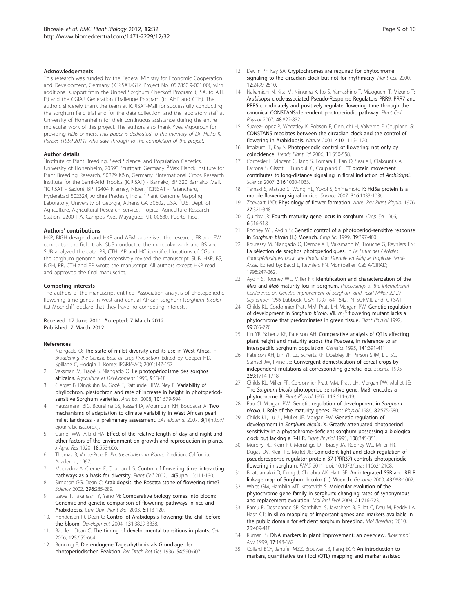#### <span id="page-8-0"></span>Acknowledgements

This research was funded by the Federal Ministry for Economic Cooperation and Development, Germany (ICRISAT/GTZ Project No. 05.7860.9-001.00), with additional support from the United Sorghum Checkoff Program (USA, to A.H. P.) and the CGIAR Generation Challenge Program (to AHP and CTH). The authors sincerely thank the team at ICRISAT-Mali for successfully conducting the sorghum field trial and for the data collection, and the laboratory staff at University of Hohenheim for their continuous assistance during the entire molecular work of this project. The authors also thank Yves Vigouroux for providing HD6 primers. This paper is dedicated to the memory of Dr. Heiko K. Parzies (1959-2011) who saw through to the completion of the project.

#### Author details

<sup>1</sup>Institute of Plant Breeding, Seed Science, and Population Genetics, University of Hohenheim, 70593 Stuttgart, Germany. <sup>2</sup>Max Planck Institute for Plant Breeding Research, 50829 Köln, Germany. <sup>3</sup>International Crops Research Institute for the Semi-Arid Tropics (ICRISAT) - Bamako, BP 320 Bamako, Mali. <sup>4</sup>ICRISAT - Sadoré, BP 12404 Niamey, Niger. <sup>5</sup>ICRISAT - Patancheru, Hyderabad 502324, Andhra Pradesh, India. <sup>6</sup>Plant Genome Mapping Laboratory, University of Georgia, Athens GA 30602, USA. <sup>7</sup>U.S. Dept. of Agriculture, Agricultural Research Service, Tropical Agriculture Research Station, 2200 P.A. Campos Ave., Mayaguez P.R. 00680, Puerto Rico.

#### Authors' contributions

HKP, BIGH designed and HKP and AEM supervised the research; FR and EW conducted the field trials, SUB conducted the molecular work and BS and SUB analyzed the data. PR, CTH, AP and HC identified locations of CGs in the sorghum genome and extensively revised the manuscript. SUB, HKP, BS, BIGH, PR, CTH and FR wrote the manuscript. All authors except HKP read and approved the final manuscript.

#### Competing interests

The authors of the manuscript entitled 'Association analysis of photoperiodic flowering time genes in west and central African sorghum [sorghum bicolor (L.) Moench]', declare that they have no competing interests.

#### Received: 17 June 2011 Accepted: 7 March 2012 Published: 7 March 2012

#### References

- Niangado O: The state of millet diversity and its use in West Africa. In Broadening the Genetic Base of Crop Production. Edited by: Cooper HD, Spillane C, Hodgin T. Rome: IPGRI/FAO; 2001:147-157.
- 2. Vaksman M, Traoé S, Niangado O: [Le photopériodisme des sorghos](http://www.ncbi.nlm.nih.gov/pubmed/22399726?dopt=Abstract) [africains.](http://www.ncbi.nlm.nih.gov/pubmed/22399726?dopt=Abstract) Agriculture et Dévélopment 1996, 9:13-18.
- 3. Clerget B, Dingkuhn M, Gozé E, Rattunde HFW, Ney B: [Variability of](http://www.ncbi.nlm.nih.gov/pubmed/18230624?dopt=Abstract) [phyllochron, plastochron and rate of increase in height in photoperiod](http://www.ncbi.nlm.nih.gov/pubmed/18230624?dopt=Abstract)[sensitive Sorghum varieties.](http://www.ncbi.nlm.nih.gov/pubmed/18230624?dopt=Abstract) Ann Bot 2008, 101:579-594.
- 4. Haussmann BIG, Boureima SS, Kassari IA, Moumouni KH, Boubacar A: Two mechanisms of adaptation to climate variability in West African pearl millet landraces - a preliminary assessment. SAT eJournal 2007, 3(1)[[http://](http://ejournal.icrisat.org/.) [ejournal.icrisat.org/.](http://ejournal.icrisat.org/.)].
- 5. Garner WW, Allard HA: Effect of the relative length of day and night and other factors of the environment on growth and reproduction in plants. J Agric Res 1920, 18:553-606.
- 6. Thomas B, Vince-Prue B: Photoperiodism in Plants. 2 edition. California: Academic; 1997.
- 7. Mouradov A, Cremer F, Coupland G: Control of flowering time: interacting pathways as a basis for diversity. Plant Cell 2002, 14(Suppl 1):111-130.
- 8. Simpson GG, Dean C: [Arabidopsis, the Rosetta stone of flowering time?](http://www.ncbi.nlm.nih.gov/pubmed/11951029?dopt=Abstract) Science 2002, 296:285-289.
- 9. Izawa T, Takahashi Y, Yano M: [Comparative biology comes into bloom:](http://www.ncbi.nlm.nih.gov/pubmed/12667866?dopt=Abstract) [Genomic and genetic comparison of flowering pathways in rice and](http://www.ncbi.nlm.nih.gov/pubmed/12667866?dopt=Abstract) [Arabidopsis.](http://www.ncbi.nlm.nih.gov/pubmed/12667866?dopt=Abstract) Curr Opin Plant Biol 2003, 6:113-120.
- 10. Henderson IR, Dean C: [Control of Arabidopsis flowering: the chill before](http://www.ncbi.nlm.nih.gov/pubmed/15289433?dopt=Abstract) [the bloom.](http://www.ncbi.nlm.nih.gov/pubmed/15289433?dopt=Abstract) Development 2004, 131:3829-3838.
- 11. Bäurle I, Dean C: [The timing of developmental transitions in plants.](http://www.ncbi.nlm.nih.gov/pubmed/16713560?dopt=Abstract) Cell 2006, 125:655-664.
- 12. Bünning E: Die endogene Tagesrhythmik als Grundlage der photoperiodischen Reaktion. Ber Dtsch Bot Ges 1936, 54:590-607.

Page 9 of 10

- 13. Devlin PF, Kay SA: [Cryptochromes are required for phytochrome](http://www.ncbi.nlm.nih.gov/pubmed/11148293?dopt=Abstract) [signaling to the circadian clock but not for rhythmicity.](http://www.ncbi.nlm.nih.gov/pubmed/11148293?dopt=Abstract) Plant Cell 2000, 12:2499-2510.
- 14. Nakamichi N, Kita M, Niinuma K, Ito S, Yamashino T, Mizoguchi T, Mizuno T: Arabidopsi [clock-associated Pseudo-Response Regulators PRR9, PRR7 and](http://www.ncbi.nlm.nih.gov/pubmed/17504813?dopt=Abstract) [PRR5 coordinately and positively regulate flowering time through the](http://www.ncbi.nlm.nih.gov/pubmed/17504813?dopt=Abstract) [canonical CONSTANS-dependent photoperiodic pathway.](http://www.ncbi.nlm.nih.gov/pubmed/17504813?dopt=Abstract) Plant Cell Physiol 2007, 48:822-832.
- 15. Suarez-Lopez P, Wheatley K, Robson F, Onouchi H, Valverde F, Coupland G: [CONSTANS mediates between the circadian clock and the control of](http://www.ncbi.nlm.nih.gov/pubmed/11323677?dopt=Abstract) [flowering in Arabidopsis.](http://www.ncbi.nlm.nih.gov/pubmed/11323677?dopt=Abstract) Nature 2001, 410:1116-1120.
- 16. Imaizumi T, Kay S: [Photoperiodic control of flowering: not only by](http://www.ncbi.nlm.nih.gov/pubmed/17035069?dopt=Abstract) [coincidence.](http://www.ncbi.nlm.nih.gov/pubmed/17035069?dopt=Abstract) Trends Plant Sci 2006, 11:550-558.
- 17. Corbesier L, Vincent C, Jang S, Fornara F, Fan Q, Searle I, Giakountis A, Farrona S, Gissot L, Turnbull C, Coupland G: [FT protein movement](http://www.ncbi.nlm.nih.gov/pubmed/17446353?dopt=Abstract) [contributes to long-distance signaling in floral induction of](http://www.ncbi.nlm.nih.gov/pubmed/17446353?dopt=Abstract) Arabidopsi. Science 2007, 316:1030-1033.
- 18. Tamaki S, Matsuo S, Wong HL, Yokoi S, Shimamoto K: [Hd3a protein is a](http://www.ncbi.nlm.nih.gov/pubmed/17446351?dopt=Abstract) [mobile flowering signal in rice.](http://www.ncbi.nlm.nih.gov/pubmed/17446351?dopt=Abstract) Science 2007, 316:1033-1036.
- 19. Zeevaart JAD: Physiology of flower formation. Annu Rev Plant Physiol 1976, 27:321-348.
- 20. Quinby JR: Fourth maturity gene locus in sorghum. Crop Sci 1966, 6:516-518.
- 21. Rooney WL, Aydin S: Genetic control of a photoperiod-sensitive response in Sorghum bicolo (L.) Moench. Crop Sci 1999, 39:397-400.
- 22. Kouressy M, Niangado O, Dembélé T, Vaksmann M, Trouche G, Reyniers FN: La sélection de sorghos photopériodiques. In Le Futur des Céréales Photopériodiques pour une Production Durable en Afrique Tropicale Semi-Aride. Edited by: Bacci L, Reyniers FN. Montpellier: CeSIA/CIRAD; 1998:247-262.
- 23. Aydin S, Rooney WL, Miller FR: Identification and characterization of the Ma5 and Ma6 maturity loci in sorghum. Proceedings of the International Conference on Genetic Improvement of Sorghum and Pearl Millet: 22-27 September 1996 Lubbock, USA; 1997, 641-642, INTSORMIL and ICRISAT.
- 24. Childs KL, Cordonnier-Pratt MM, Pratt LH, Morgan PW: [Genetic regulation](http://www.ncbi.nlm.nih.gov/pubmed/16668953?dopt=Abstract) [of development in](http://www.ncbi.nlm.nih.gov/pubmed/16668953?dopt=Abstract) Sorghum bicolo. VII.  $m_3^R$  $m_3^R$  [flowering mutant lacks a](http://www.ncbi.nlm.nih.gov/pubmed/16668953?dopt=Abstract) [phytochrome that predominates in green tissue.](http://www.ncbi.nlm.nih.gov/pubmed/16668953?dopt=Abstract) Plant Physiol 1992, 99:765-770.
- 25. Lin YR, Schertz KF, Paterson AH: [Comparative analysis of QTLs affecting](http://www.ncbi.nlm.nih.gov/pubmed/8536986?dopt=Abstract) [plant height and maturity across the Poaceae, in reference to an](http://www.ncbi.nlm.nih.gov/pubmed/8536986?dopt=Abstract) [interspecific sorghum population.](http://www.ncbi.nlm.nih.gov/pubmed/8536986?dopt=Abstract) Genetics 1995, 141:391-411.
- 26. Paterson AH, Lin YR LZ, Schertz KF, Doebley JF, Pinson SRM, Liu SC, Stansel JW, Irvine JE: [Convergent domestication of cereal crops by](http://www.ncbi.nlm.nih.gov/pubmed/17821643?dopt=Abstract) [independent mutations at corresponding genetic loci.](http://www.ncbi.nlm.nih.gov/pubmed/17821643?dopt=Abstract) Science 1995, 269:1714-1718.
- 27. Childs KL, Miller FR, Cordonnier-Pratt MM, Pratt LH, Morgan PW, Mullet JE: The Sorghum bicolo [photoperiod sensitive gene, Ma3, encodes a](http://www.ncbi.nlm.nih.gov/pubmed/9046599?dopt=Abstract) [phytochrome B.](http://www.ncbi.nlm.nih.gov/pubmed/9046599?dopt=Abstract) Plant Physiol 1997, 113:611-619.
- 28. Pao CI, Morgan PW: [Genetic regulation of development in](http://www.ncbi.nlm.nih.gov/pubmed/16665069?dopt=Abstract) Sorghum bicolo[. I. Role of the maturity genes.](http://www.ncbi.nlm.nih.gov/pubmed/16665069?dopt=Abstract) Plant Physiol 1986, 82:575-580.
- 29. Childs KL, Lu JL, Mullet JE, Morgan PW: [Genetic regulation of](http://www.ncbi.nlm.nih.gov/pubmed/12228479?dopt=Abstract) development in Sorghum bicolo[. X. Greatly attenuated photoperiod](http://www.ncbi.nlm.nih.gov/pubmed/12228479?dopt=Abstract) [sensitivity in a phytochrome-deficient sorghum possessing a biological](http://www.ncbi.nlm.nih.gov/pubmed/12228479?dopt=Abstract) [clock but lacking a R-HIR.](http://www.ncbi.nlm.nih.gov/pubmed/12228479?dopt=Abstract) Plant Physiol 1995, 108:345-351.
- 30. Murphy RL, Klein RR, Morishige DT, Brady JA, Rooney WL, Miller FR, Dugas DV, Klein PE, Mullet JE: Coincident light and clock regulation of pseudoresponse regulator protein 37 (PRR37) controls photoperiodic flowering in sorghum. PNAS 2011, doi: 10.1073/pnas.1106212108.
- 31. Bhattramakki D, Dong J, Chhabra AK, Hart GE: [An integrated SSR and RFLP](http://www.ncbi.nlm.nih.gov/pubmed/11195353?dopt=Abstract) [linkage map of Sorghum bicolor \(L.\) Moench.](http://www.ncbi.nlm.nih.gov/pubmed/11195353?dopt=Abstract) Genome 2000, 43:988-1002.
- 32. White GM, Hamblin MT, Kresovich S: [Molecular evolution of the](http://www.ncbi.nlm.nih.gov/pubmed/14963106?dopt=Abstract) [phytochrome gene family in sorghum: changing rates of synonymous](http://www.ncbi.nlm.nih.gov/pubmed/14963106?dopt=Abstract) [and replacement evolution.](http://www.ncbi.nlm.nih.gov/pubmed/14963106?dopt=Abstract) Mol Biol Evol 2004, 21:716-723.
- 33. Ramu P, Deshpande SP, Senthilvel S, Jayashree B, Billot C, Deu M, Reddy LA, Hash CT: In silico mapping of important genes and markers available in the public domain for efficient sorghum breeding. Mol Breeding 2010, 26:409-418.
- 34. Kumar LS: [DNA markers in plant improvement: an overview.](http://www.ncbi.nlm.nih.gov/pubmed/14538138?dopt=Abstract) Biotechnol Adv 1999, 17:143-182.
- 35. Collard BCY, Jahufer MZZ, Brouwer JB, Pang ECK: An introduction to markers, quantitative trait loci (QTL) mapping and marker assisted